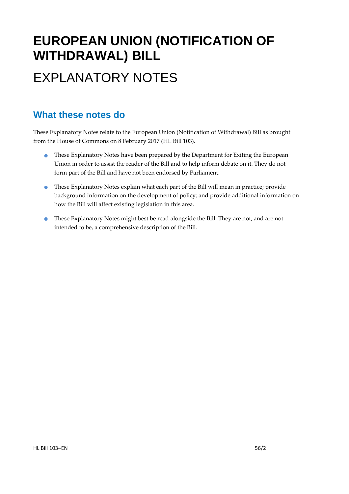# **EUROPEAN UNION (NOTIFICATION OF WITHDRAWAL) BILL**  EXPLANATORY NOTES

### **What these notes do**

These Explanatory Notes relate to the European Union (Notification of Withdrawal) Bill as brought from the House of Commons on 8 February 2017 (HL Bill 103).

- **These Explanatory Notes have been prepared by the Department for Exiting the European** Union in order to assist the reader of the Bill and to help inform debate on it. They do not form part of the Bill and have not been endorsed by Parliament.
- These Explanatory Notes explain what each part of the Bill will mean in practice; provide background information on the development of policy; and provide additional information on how the Bill will affect existing legislation in this area.
- These Explanatory Notes might best be read alongside the Bill. They are not, and are not intended to be, a comprehensive description of the Bill.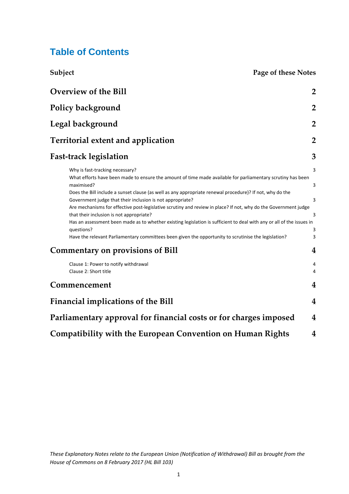### **Table of Contents**

**Subject Page of these Notes**

| <b>Overview of the Bill</b>                                                                                                                                                                                                                                                                                                                                                                                                                                                                                                                                                                                                                                                                                                                                                                                                            | $\overline{2}$                                    |
|----------------------------------------------------------------------------------------------------------------------------------------------------------------------------------------------------------------------------------------------------------------------------------------------------------------------------------------------------------------------------------------------------------------------------------------------------------------------------------------------------------------------------------------------------------------------------------------------------------------------------------------------------------------------------------------------------------------------------------------------------------------------------------------------------------------------------------------|---------------------------------------------------|
| <b>Policy background</b>                                                                                                                                                                                                                                                                                                                                                                                                                                                                                                                                                                                                                                                                                                                                                                                                               | $\overline{2}$                                    |
| Legal background                                                                                                                                                                                                                                                                                                                                                                                                                                                                                                                                                                                                                                                                                                                                                                                                                       | $\overline{2}$                                    |
| <b>Territorial extent and application</b>                                                                                                                                                                                                                                                                                                                                                                                                                                                                                                                                                                                                                                                                                                                                                                                              | $\overline{2}$                                    |
| <b>Fast-track legislation</b>                                                                                                                                                                                                                                                                                                                                                                                                                                                                                                                                                                                                                                                                                                                                                                                                          | 3                                                 |
| Why is fast-tracking necessary?<br>What efforts have been made to ensure the amount of time made available for parliamentary scrutiny has been<br>maximised?<br>Does the Bill include a sunset clause (as well as any appropriate renewal procedure)? If not, why do the<br>Government judge that their inclusion is not appropriate?<br>Are mechanisms for effective post-legislative scrutiny and review in place? If not, why do the Government judge<br>that their inclusion is not appropriate?<br>Has an assessment been made as to whether existing legislation is sufficient to deal with any or all of the issues in<br>questions?<br>Have the relevant Parliamentary committees been given the opportunity to scrutinise the legislation?<br><b>Commentary on provisions of Bill</b><br>Clause 1: Power to notify withdrawal | 3<br>3<br>$\overline{3}$<br>3<br>3<br>3<br>4<br>4 |
| Clause 2: Short title<br>Commencement                                                                                                                                                                                                                                                                                                                                                                                                                                                                                                                                                                                                                                                                                                                                                                                                  | 4<br>4                                            |
| <b>Financial implications of the Bill</b>                                                                                                                                                                                                                                                                                                                                                                                                                                                                                                                                                                                                                                                                                                                                                                                              | $\boldsymbol{4}$                                  |
| Parliamentary approval for financial costs or for charges imposed                                                                                                                                                                                                                                                                                                                                                                                                                                                                                                                                                                                                                                                                                                                                                                      | 4                                                 |
| <b>Compatibility with the European Convention on Human Rights</b>                                                                                                                                                                                                                                                                                                                                                                                                                                                                                                                                                                                                                                                                                                                                                                      | 4                                                 |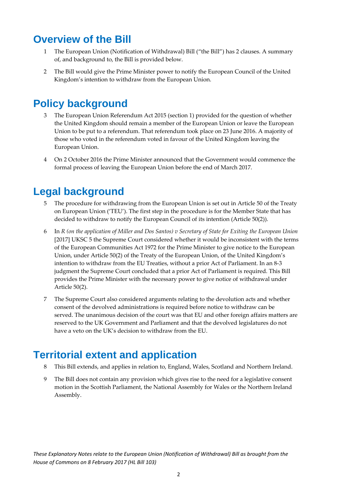### **Overview of the Bill**

- 1 The European Union (Notification of Withdrawal) Bill ("the Bill") has 2 clauses. A summary of, and background to, the Bill is provided below.
- 2 The Bill would give the Prime Minister power to notify the European Council of the United Kingdom's intention to withdraw from the European Union.

## **Policy background**

- 3 The European Union Referendum Act 2015 (section 1) provided for the question of whether the United Kingdom should remain a member of the European Union or leave the European Union to be put to a referendum. That referendum took place on 23 June 2016. A majority of those who voted in the referendum voted in favour of the United Kingdom leaving the European Union.
- 4 On 2 October 2016 the Prime Minister announced that the Government would commence the formal process of leaving the European Union before the end of March 2017.

### **Legal background**

- 5 The procedure for withdrawing from the European Union is set out in Article 50 of the Treaty on European Union ('TEU'). The first step in the procedure is for the Member State that has decided to withdraw to notify the European Council of its intention (Article 50(2)).
- 6 In R (on the application of Miller and Dos Santos) v Secretary of State for Exiting the European Union [2017] UKSC 5 the Supreme Court considered whether it would be inconsistent with the terms of the European Communities Act 1972 for the Prime Minister to give notice to the European Union, under Article 50(2) of the Treaty of the European Union, of the United Kingdom's intention to withdraw from the EU Treaties, without a prior Act of Parliament. In an 8‐3 judgment the Supreme Court concluded that a prior Act of Parliament is required. This Bill provides the Prime Minister with the necessary power to give notice of withdrawal under Article 50(2).
- 7 The Supreme Court also considered arguments relating to the devolution acts and whether consent of the devolved administrations is required before notice to withdraw can be served. The unanimous decision of the court was that EU and other foreign affairs matters are reserved to the UK Government and Parliament and that the devolved legislatures do not have a veto on the UK's decision to withdraw from the EU.

### **Territorial extent and application**

- 8 This Bill extends, and applies in relation to, England, Wales, Scotland and Northern Ireland.
- 9 The Bill does not contain any provision which gives rise to the need for a legislative consent motion in the Scottish Parliament, the National Assembly for Wales or the Northern Ireland Assembly.

*These Explanatory Notes relate to the European Union (Notification of Withdrawal) Bill as brought from the House of Commons on 8 February 2017 (HL Bill 103)*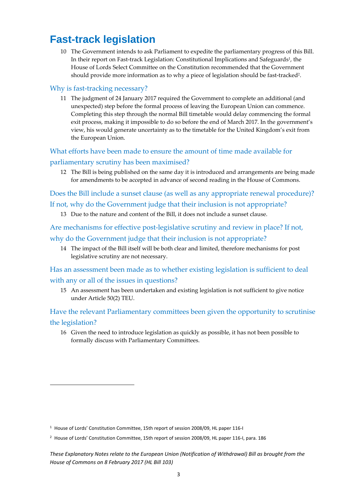## **Fast-track legislation**

10 The Government intends to ask Parliament to expedite the parliamentary progress of this Bill. In their report on Fast-track Legislation: Constitutional Implications and Safeguards<sup>1</sup>, the House of Lords Select Committee on the Constitution recommended that the Government should provide more information as to why a piece of legislation should be fast-tracked<sup>2</sup>.

#### Why is fast-tracking necessary?

11 The judgment of 24 January 2017 required the Government to complete an additional (and unexpected) step before the formal process of leaving the European Union can commence. Completing this step through the normal Bill timetable would delay commencing the formal exit process, making it impossible to do so before the end of March 2017. In the government's view, his would generate uncertainty as to the timetable for the United Kingdom's exit from the European Union.

#### What efforts have been made to ensure the amount of time made available for parliamentary scrutiny has been maximised?

12 The Bill is being published on the same day it is introduced and arrangements are being made for amendments to be accepted in advance of second reading in the House of Commons.

Does the Bill include a sunset clause (as well as any appropriate renewal procedure)?

#### If not, why do the Government judge that their inclusion is not appropriate?

13 Due to the nature and content of the Bill, it does not include a sunset clause.

Are mechanisms for effective post-legislative scrutiny and review in place? If not, why do the Government judge that their inclusion is not appropriate?

14 The impact of the Bill itself will be both clear and limited, therefore mechanisms for post legislative scrutiny are not necessary.

Has an assessment been made as to whether existing legislation is sufficient to deal with any or all of the issues in questions?

15 An assessment has been undertaken and existing legislation is not sufficient to give notice under Article 50(2) TEU.

Have the relevant Parliamentary committees been given the opportunity to scrutinise the legislation?

16 Given the need to introduce legislation as quickly as possible, it has not been possible to formally discuss with Parliamentary Committees.

<sup>1</sup> House of Lords' Constitution Committee, 15th report of session 2008/09, HL paper 116‐I

<sup>&</sup>lt;sup>2</sup> House of Lords' Constitution Committee, 15th report of session 2008/09, HL paper 116-I, para. 186

*These Explanatory Notes relate to the European Union (Notification of Withdrawal) Bill as brought from the House of Commons on 8 February 2017 (HL Bill 103)*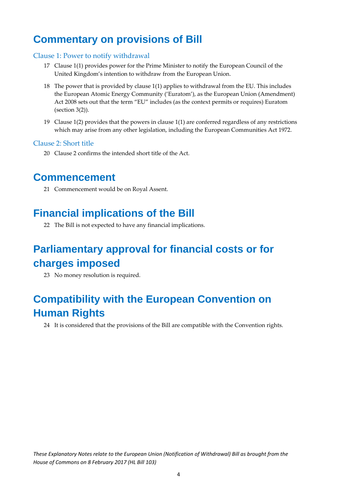## **Commentary on provisions of Bill**

#### Clause 1: Power to notify withdrawal

- 17 Clause 1(1) provides power for the Prime Minister to notify the European Council of the United Kingdom's intention to withdraw from the European Union.
- 18 The power that is provided by clause 1(1) applies to withdrawal from the EU. This includes the European Atomic Energy Community ('Euratom'), as the European Union (Amendment) Act 2008 sets out that the term "EU" includes (as the context permits or requires) Euratom (section 3(2)).
- 19 Clause 1(2) provides that the powers in clause 1(1) are conferred regardless of any restrictions which may arise from any other legislation, including the European Communities Act 1972.

#### Clause 2: Short title

20 Clause 2 confirms the intended short title of the Act.

### **Commencement**

21 Commencement would be on Royal Assent.

### **Financial implications of the Bill**

22 The Bill is not expected to have any financial implications.

## **Parliamentary approval for financial costs or for charges imposed**

23 No money resolution is required.

## **Compatibility with the European Convention on Human Rights**

24 It is considered that the provisions of the Bill are compatible with the Convention rights.